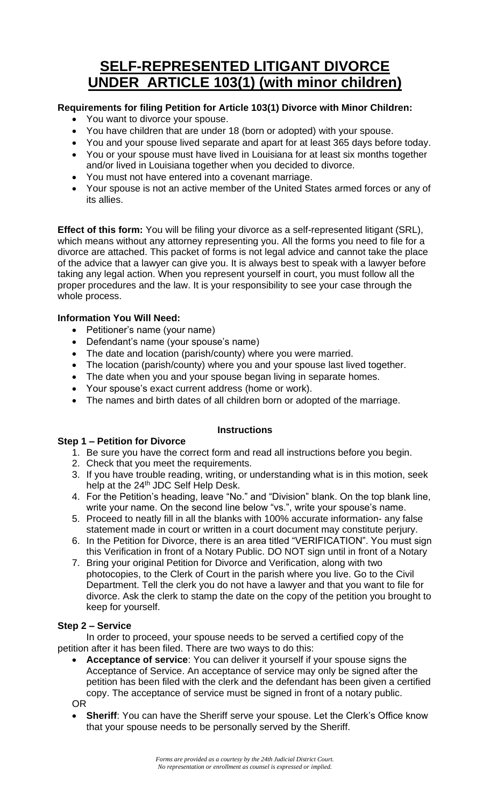# **SELF-REPRESENTED LITIGANT DIVORCE UNDER ARTICLE 103(1) (with minor children)**

## **Requirements for filing Petition for Article 103(1) Divorce with Minor Children:**

- You want to divorce your spouse.
- You have children that are under 18 (born or adopted) with your spouse.
- You and your spouse lived separate and apart for at least 365 days before today.
- You or your spouse must have lived in Louisiana for at least six months together and/or lived in Louisiana together when you decided to divorce.
- You must not have entered into a covenant marriage.
- Your spouse is not an active member of the United States armed forces or any of its allies.

**Effect of this form:** You will be filing your divorce as a self-represented litigant (SRL), which means without any attorney representing you. All the forms you need to file for a divorce are attached. This packet of forms is not legal advice and cannot take the place of the advice that a lawyer can give you. It is always best to speak with a lawyer before taking any legal action. When you represent yourself in court, you must follow all the proper procedures and the law. It is your responsibility to see your case through the whole process.

## **Information You Will Need:**

- Petitioner's name (your name)
- Defendant's name (your spouse's name)
- The date and location (parish/county) where you were married.
- The location (parish/county) where you and your spouse last lived together.
- The date when you and your spouse began living in separate homes.
- Your spouse's exact current address (home or work).
- The names and birth dates of all children born or adopted of the marriage.

#### **Instructions**

#### **Step 1 – Petition for Divorce**

- 1. Be sure you have the correct form and read all instructions before you begin.
- 2. Check that you meet the requirements.
- 3. If you have trouble reading, writing, or understanding what is in this motion, seek help at the 24<sup>th</sup> JDC Self Help Desk.
- 4. For the Petition's heading, leave "No." and "Division" blank. On the top blank line, write your name. On the second line below "vs.", write your spouse's name.
- 5. Proceed to neatly fill in all the blanks with 100% accurate information- any false statement made in court or written in a court document may constitute perjury.
- 6. In the Petition for Divorce, there is an area titled "VERIFICATION". You must sign this Verification in front of a Notary Public. DO NOT sign until in front of a Notary
- 7. Bring your original Petition for Divorce and Verification, along with two photocopies, to the Clerk of Court in the parish where you live. Go to the Civil Department. Tell the clerk you do not have a lawyer and that you want to file for divorce. Ask the clerk to stamp the date on the copy of the petition you brought to keep for yourself.

## **Step 2 – Service**

In order to proceed, your spouse needs to be served a certified copy of the petition after it has been filed. There are two ways to do this:

- **Acceptance of service**: You can deliver it yourself if your spouse signs the Acceptance of Service. An acceptance of service may only be signed after the petition has been filed with the clerk and the defendant has been given a certified copy. The acceptance of service must be signed in front of a notary public. OR
- **Sheriff**: You can have the Sheriff serve your spouse. Let the Clerk's Office know that your spouse needs to be personally served by the Sheriff.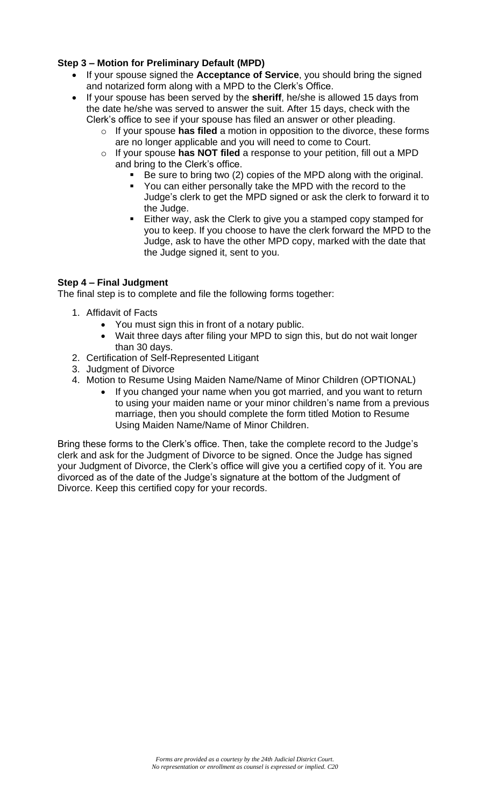## **Step 3 – Motion for Preliminary Default (MPD)**

- If your spouse signed the **Acceptance of Service**, you should bring the signed and notarized form along with a MPD to the Clerk's Office.
- If your spouse has been served by the **sheriff**, he/she is allowed 15 days from the date he/she was served to answer the suit. After 15 days, check with the Clerk's office to see if your spouse has filed an answer or other pleading.
	- o If your spouse **has filed** a motion in opposition to the divorce, these forms are no longer applicable and you will need to come to Court.
	- o If your spouse **has NOT filed** a response to your petition, fill out a MPD and bring to the Clerk's office.
		- Be sure to bring two (2) copies of the MPD along with the original.
		- You can either personally take the MPD with the record to the Judge's clerk to get the MPD signed or ask the clerk to forward it to the Judge.
		- Either way, ask the Clerk to give you a stamped copy stamped for you to keep. If you choose to have the clerk forward the MPD to the Judge, ask to have the other MPD copy, marked with the date that the Judge signed it, sent to you.

## **Step 4 – Final Judgment**

The final step is to complete and file the following forms together:

- 1. Affidavit of Facts
	- You must sign this in front of a notary public.
	- Wait three days after filing your MPD to sign this, but do not wait longer than 30 days.
- 2. Certification of Self-Represented Litigant
- 3. Judgment of Divorce
- 4. Motion to Resume Using Maiden Name/Name of Minor Children (OPTIONAL)
	- If you changed your name when you got married, and you want to return to using your maiden name or your minor children's name from a previous marriage, then you should complete the form titled Motion to Resume Using Maiden Name/Name of Minor Children.

Bring these forms to the Clerk's office. Then, take the complete record to the Judge's clerk and ask for the Judgment of Divorce to be signed. Once the Judge has signed your Judgment of Divorce, the Clerk's office will give you a certified copy of it. You are divorced as of the date of the Judge's signature at the bottom of the Judgment of Divorce. Keep this certified copy for your records.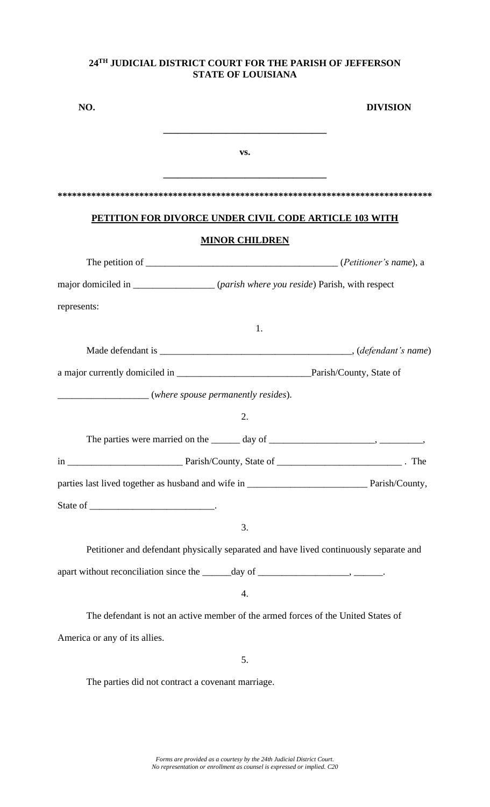| NO.                           |                                                                                                  | <b>DIVISION</b> |
|-------------------------------|--------------------------------------------------------------------------------------------------|-----------------|
|                               | the control of the control of the control of the control of the control of the control of<br>VS. |                 |
|                               |                                                                                                  |                 |
|                               | <b>PETITION FOR DIVORCE UNDER CIVIL CODE ARTICLE 103 WITH</b>                                    |                 |
|                               | <b>MINOR CHILDREN</b>                                                                            |                 |
|                               |                                                                                                  |                 |
|                               | major domiciled in ___________________ (parish where you reside) Parish, with respect            |                 |
| represents:                   |                                                                                                  |                 |
|                               | 1.                                                                                               |                 |
|                               |                                                                                                  |                 |
|                               |                                                                                                  |                 |
|                               | (where spouse permanently resides).                                                              |                 |
|                               | 2.                                                                                               |                 |
|                               |                                                                                                  |                 |
|                               |                                                                                                  |                 |
|                               |                                                                                                  |                 |
|                               |                                                                                                  |                 |
|                               | 3.                                                                                               |                 |
|                               | Petitioner and defendant physically separated and have lived continuously separate and           |                 |
|                               |                                                                                                  |                 |
|                               | $\boldsymbol{4}$ .                                                                               |                 |
|                               | The defendant is not an active member of the armed forces of the United States of                |                 |
| America or any of its allies. |                                                                                                  |                 |
|                               | 5.                                                                                               |                 |
|                               | The parties did not contract a covenant marriage.                                                |                 |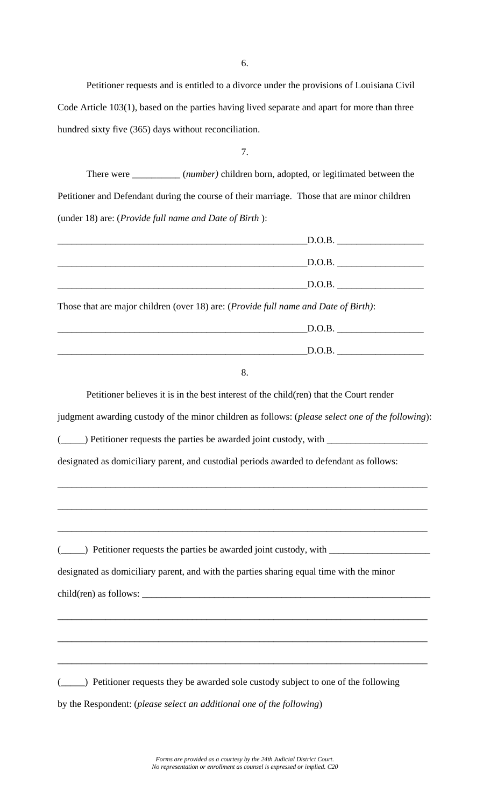6.

Petitioner requests and is entitled to a divorce under the provisions of Louisiana Civil Code Article 103(1), based on the parties having lived separate and apart for more than three hundred sixty five (365) days without reconciliation.

7.

There were \_\_\_\_\_\_\_\_\_\_ (*number)* children born, adopted, or legitimated between the Petitioner and Defendant during the course of their marriage. Those that are minor children (under 18) are: (*Provide full name and Date of Birth* ):

|                                                                                              | $\boxed{\text{D.O.B.}}$ |  |
|----------------------------------------------------------------------------------------------|-------------------------|--|
|                                                                                              | $\boxed{\text{D.O.B.}}$ |  |
|                                                                                              | $\boxed{\text{D.O.B.}}$ |  |
| Those that are major children (over 18) are: ( <i>Provide full name and Date of Birth</i> ): |                         |  |
|                                                                                              | $\boxed{\text{D.O.B.}}$ |  |
|                                                                                              | D.O.B.                  |  |

| ٠<br>I<br>×        |        |
|--------------------|--------|
| c,<br>I<br>٠<br>۰. | $\sim$ |

Petitioner believes it is in the best interest of the child(ren) that the Court render

judgment awarding custody of the minor children as follows: (*please select one of the following*):

\_\_\_\_\_\_\_\_\_\_\_\_\_\_\_\_\_\_\_\_\_\_\_\_\_\_\_\_\_\_\_\_\_\_\_\_\_\_\_\_\_\_\_\_\_\_\_\_\_\_\_\_\_\_\_\_\_\_\_\_\_\_\_\_\_\_\_\_\_\_\_\_\_\_\_\_\_

\_\_\_\_\_\_\_\_\_\_\_\_\_\_\_\_\_\_\_\_\_\_\_\_\_\_\_\_\_\_\_\_\_\_\_\_\_\_\_\_\_\_\_\_\_\_\_\_\_\_\_\_\_\_\_\_\_\_\_\_\_\_\_\_\_\_\_\_\_\_\_\_\_\_\_\_\_

\_\_\_\_\_\_\_\_\_\_\_\_\_\_\_\_\_\_\_\_\_\_\_\_\_\_\_\_\_\_\_\_\_\_\_\_\_\_\_\_\_\_\_\_\_\_\_\_\_\_\_\_\_\_\_\_\_\_\_\_\_\_\_\_\_\_\_\_\_\_\_\_\_\_\_\_\_

\_\_\_\_\_\_\_\_\_\_\_\_\_\_\_\_\_\_\_\_\_\_\_\_\_\_\_\_\_\_\_\_\_\_\_\_\_\_\_\_\_\_\_\_\_\_\_\_\_\_\_\_\_\_\_\_\_\_\_\_\_\_\_\_\_\_\_\_\_\_\_\_\_\_\_\_\_

\_\_\_\_\_\_\_\_\_\_\_\_\_\_\_\_\_\_\_\_\_\_\_\_\_\_\_\_\_\_\_\_\_\_\_\_\_\_\_\_\_\_\_\_\_\_\_\_\_\_\_\_\_\_\_\_\_\_\_\_\_\_\_\_\_\_\_\_\_\_\_\_\_\_\_\_\_

\_\_\_\_\_\_\_\_\_\_\_\_\_\_\_\_\_\_\_\_\_\_\_\_\_\_\_\_\_\_\_\_\_\_\_\_\_\_\_\_\_\_\_\_\_\_\_\_\_\_\_\_\_\_\_\_\_\_\_\_\_\_\_\_\_\_\_\_\_\_\_\_\_\_\_\_\_

(\_\_\_\_\_) Petitioner requests the parties be awarded joint custody, with \_\_\_\_\_\_\_\_\_

designated as domiciliary parent, and custodial periods awarded to defendant as follows:

(\_\_\_\_\_) Petitioner requests the parties be awarded joint custody, with  $\perp$ 

designated as domiciliary parent, and with the parties sharing equal time with the minor  $child(ren)$  as follows:  $\frac{1}{\sqrt{1-\frac{1}{n}}}\cdot$ 

(\_\_\_\_\_) Petitioner requests they be awarded sole custody subject to one of the following by the Respondent: (*please select an additional one of the following*)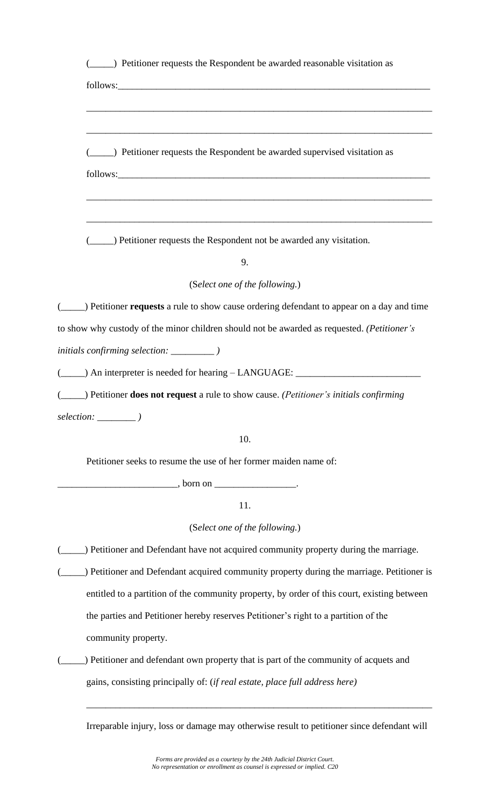| (2015) Petitioner requests the Respondent be awarded reasonable visitation as                                                                                                                                                        |
|--------------------------------------------------------------------------------------------------------------------------------------------------------------------------------------------------------------------------------------|
|                                                                                                                                                                                                                                      |
|                                                                                                                                                                                                                                      |
|                                                                                                                                                                                                                                      |
| (_______) Petitioner requests the Respondent be awarded supervised visitation as                                                                                                                                                     |
| follows: <u>and the contract of the contract of the contract of the contract of the contract of the contract of the contract of the contract of the contract of the contract of the contract of the contract of the contract of </u> |
|                                                                                                                                                                                                                                      |
| ,我们也不能在这里的时候,我们也不能在这里的时候,我们也不能会在这里的时候,我们也不能会在这里的时候,我们也不能会在这里的时候,我们也不能会在这里的时候,我们也不                                                                                                                                                    |
| (_______) Petitioner requests the Respondent not be awarded any visitation.                                                                                                                                                          |
| 9.                                                                                                                                                                                                                                   |
| (Select one of the following.)                                                                                                                                                                                                       |
| (______) Petitioner requests a rule to show cause ordering defendant to appear on a day and time                                                                                                                                     |
| to show why custody of the minor children should not be awarded as requested. (Petitioner's                                                                                                                                          |
|                                                                                                                                                                                                                                      |
| (_____) An interpreter is needed for hearing - LANGUAGE: ________________________                                                                                                                                                    |
| (______) Petitioner <b>does not request</b> a rule to show cause. ( <i>Petitioner's initials confirming</i>                                                                                                                          |
| selection: _______                                                                                                                                                                                                                   |
| 10.                                                                                                                                                                                                                                  |
| Petitioner seeks to resume the use of her former maiden name of:                                                                                                                                                                     |
| $\frac{1}{2}$ , born on $\frac{1}{2}$ .                                                                                                                                                                                              |
| 11.                                                                                                                                                                                                                                  |
| (Select one of the following.)                                                                                                                                                                                                       |
| ) Petitioner and Defendant have not acquired community property during the marriage.                                                                                                                                                 |
| ) Petitioner and Defendant acquired community property during the marriage. Petitioner is                                                                                                                                            |
| entitled to a partition of the community property, by order of this court, existing between                                                                                                                                          |
| the parties and Petitioner hereby reserves Petitioner's right to a partition of the                                                                                                                                                  |
| community property.                                                                                                                                                                                                                  |
| ) Petitioner and defendant own property that is part of the community of acquets and                                                                                                                                                 |
| gains, consisting principally of: (if real estate, place full address here)                                                                                                                                                          |
|                                                                                                                                                                                                                                      |

Irreparable injury, loss or damage may otherwise result to petitioner since defendant will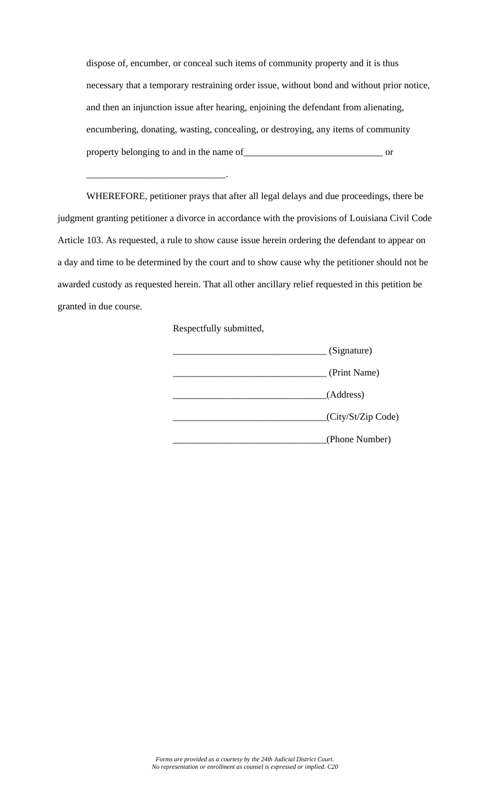dispose of, encumber, or conceal such items of community property and it is thus necessary that a temporary restraining order issue, without bond and without prior notice, and then an injunction issue after hearing, enjoining the defendant from alienating, encumbering, donating, wasting, concealing, or destroying, any items of community property belonging to and in the name of \_\_\_\_\_\_\_\_\_\_\_\_\_\_\_\_\_\_\_\_\_\_\_\_\_\_\_\_\_\_\_\_\_\_ or

WHEREFORE, petitioner prays that after all legal delays and due proceedings, there be judgment granting petitioner a divorce in accordance with the provisions of Louisiana Civil Code Article 103. As requested, a rule to show cause issue herein ordering the defendant to appear on a day and time to be determined by the court and to show cause why the petitioner should not be awarded custody as requested herein. That all other ancillary relief requested in this petition be granted in due course.

Respectfully submitted,

\_\_\_\_\_\_\_\_\_\_\_\_\_\_\_\_\_\_\_\_\_\_\_\_\_\_\_\_\_.

| (Signature)        |
|--------------------|
| (Print Name)       |
| (Address)          |
| (City/St/Zip Code) |
| (Phone Number)     |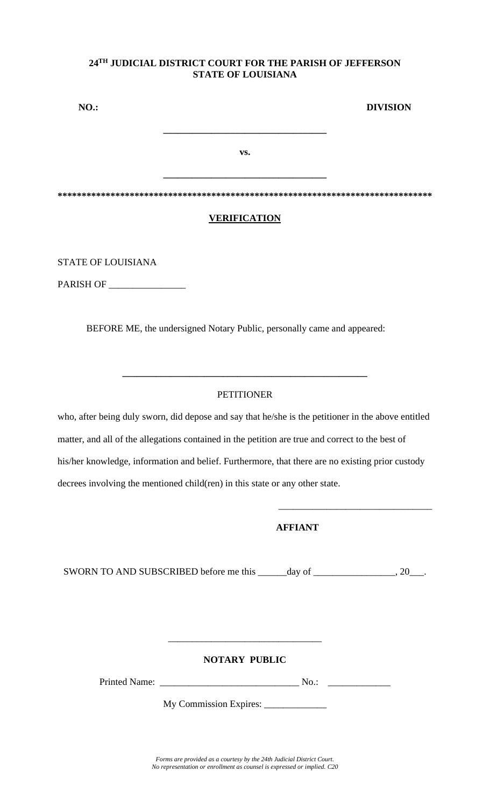| <b>NO.:</b> |                     | <b>DIVISION</b> |
|-------------|---------------------|-----------------|
|             |                     |                 |
|             | VS.                 |                 |
|             |                     |                 |
|             |                     |                 |
|             | <b>VERIFICATION</b> |                 |

STATE OF LOUISIANA

PARISH OF \_\_\_\_\_\_\_\_\_\_\_\_\_\_\_\_

BEFORE ME, the undersigned Notary Public, personally came and appeared:

## **PETITIONER**

**\_\_\_\_\_\_\_\_\_\_\_\_\_\_\_\_\_\_\_\_\_\_\_\_\_\_\_\_\_\_\_\_\_\_\_\_\_\_\_\_\_\_\_\_\_\_\_\_\_\_\_**

who, after being duly sworn, did depose and say that he/she is the petitioner in the above entitled matter, and all of the allegations contained in the petition are true and correct to the best of his/her knowledge, information and belief. Furthermore, that there are no existing prior custody decrees involving the mentioned child(ren) in this state or any other state.

## **AFFIANT**

 $\overline{\phantom{a}}$  ,  $\overline{\phantom{a}}$  ,  $\overline{\phantom{a}}$  ,  $\overline{\phantom{a}}$  ,  $\overline{\phantom{a}}$  ,  $\overline{\phantom{a}}$  ,  $\overline{\phantom{a}}$  ,  $\overline{\phantom{a}}$  ,  $\overline{\phantom{a}}$  ,  $\overline{\phantom{a}}$  ,  $\overline{\phantom{a}}$  ,  $\overline{\phantom{a}}$  ,  $\overline{\phantom{a}}$  ,  $\overline{\phantom{a}}$  ,  $\overline{\phantom{a}}$  ,  $\overline{\phantom{a}}$ 

SWORN TO AND SUBSCRIBED before me this day of \_\_\_\_\_\_\_\_\_\_\_\_\_\_\_\_\_\_\_\_, 20\_\_\_.

## **NOTARY PUBLIC**

\_\_\_\_\_\_\_\_\_\_\_\_\_\_\_\_\_\_\_\_\_\_\_\_\_\_\_\_\_\_\_\_

Printed Name: \_\_\_\_\_\_\_\_\_\_\_\_\_\_\_\_\_\_\_\_\_\_\_\_\_\_\_\_\_ No.: \_\_\_\_\_\_\_\_\_\_\_\_\_

My Commission Expires: \_\_\_\_\_\_\_\_\_\_\_\_\_

*Forms are provided as a courtesy by the 24th Judicial District Court. No representation or enrollment as counsel is expressed or implied. C20*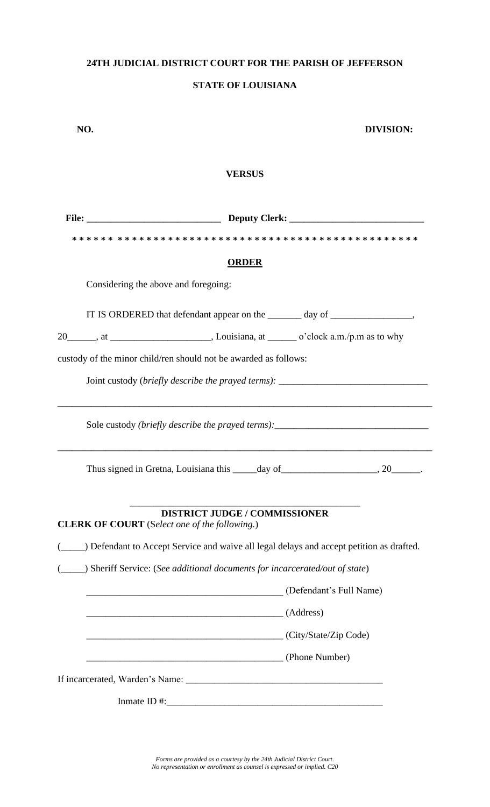## **24TH JUDICIAL DISTRICT COURT FOR THE PARISH OF JEFFERSON**

## **STATE OF LOUISIANA**

| NO. |                                                                                              | <b>DIVISION:</b> |
|-----|----------------------------------------------------------------------------------------------|------------------|
|     | <b>VERSUS</b>                                                                                |                  |
|     |                                                                                              |                  |
|     |                                                                                              |                  |
|     | <b>ORDER</b>                                                                                 |                  |
|     | Considering the above and foregoing:                                                         |                  |
|     | IT IS ORDERED that defendant appear on the _______ day of ______________________,            |                  |
|     |                                                                                              |                  |
|     | custody of the minor child/ren should not be awarded as follows:                             |                  |
|     | Joint custody (briefly describe the prayed terms): ______________________________            |                  |
|     | Sole custody (briefly describe the prayed terms): _______________________________            |                  |
|     |                                                                                              |                  |
|     | <b>DISTRICT JUDGE / COMMISSIONER</b><br><b>CLERK OF COURT</b> (Select one of the following.) |                  |
|     | _) Defendant to Accept Service and waive all legal delays and accept petition as drafted.    |                  |
|     | ) Sheriff Service: (See additional documents for incarcerated/out of state)                  |                  |
|     | Defendant's Full Name)                                                                       |                  |
|     | $\overline{A}$ (Address)                                                                     |                  |
|     | (City/State/Zip Code)                                                                        |                  |
|     | (Phone Number)                                                                               |                  |
|     |                                                                                              |                  |
|     |                                                                                              |                  |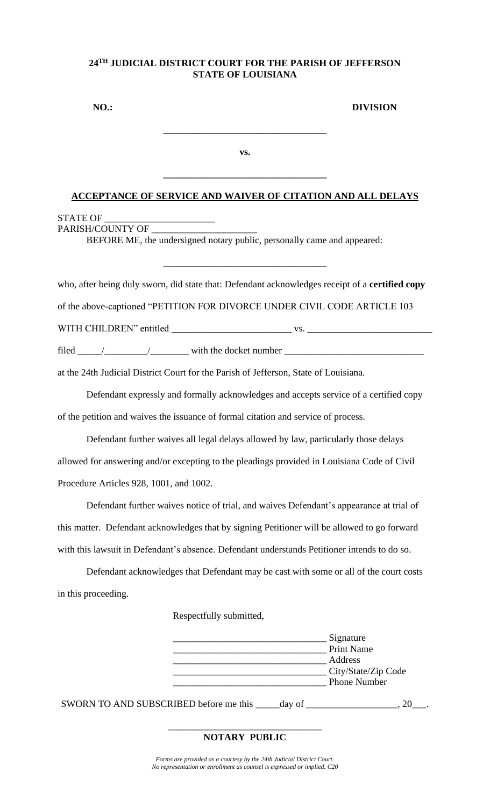| $NO.$ : |     | <b>DIVISION</b> |
|---------|-----|-----------------|
|         |     |                 |
|         | VS. |                 |

#### **ACCEPTANCE OF SERVICE AND WAIVER OF CITATION AND ALL DELAYS**

**\_\_\_\_\_\_\_\_\_\_\_\_\_\_\_\_\_\_\_\_\_\_\_\_\_\_\_\_\_\_\_\_\_\_**

# STATE OF \_\_\_\_\_\_\_\_\_\_\_\_\_\_\_\_\_\_\_\_\_\_\_

PARISH/COUNTY OF

BEFORE ME, the undersigned notary public, personally came and appeared:

who, after being duly sworn, did state that: Defendant acknowledges receipt of a **certified copy**

**\_\_\_\_\_\_\_\_\_\_\_\_\_\_\_\_\_\_\_\_\_\_\_\_\_\_\_\_\_\_\_\_\_\_**

of the above-captioned "PETITION FOR DIVORCE UNDER CIVIL CODE ARTICLE 103

WITH CHILDREN" entitled **\_\_\_\_\_\_\_\_\_\_\_\_\_\_\_\_\_\_\_\_\_\_\_\_\_** vs. **\_\_\_\_\_\_\_\_\_\_\_\_\_\_\_\_\_\_\_\_\_\_\_\_\_\_**

filed \_\_\_\_\_/\_\_\_\_\_\_\_\_\_/\_\_\_\_\_\_\_\_ with the docket number \_\_\_\_\_\_\_\_\_\_\_\_\_\_\_\_\_\_\_\_\_\_\_\_\_\_\_\_\_

at the 24th Judicial District Court for the Parish of Jefferson, State of Louisiana.

Defendant expressly and formally acknowledges and accepts service of a certified copy of the petition and waives the issuance of formal citation and service of process.

Defendant further waives all legal delays allowed by law, particularly those delays allowed for answering and/or excepting to the pleadings provided in Louisiana Code of Civil Procedure Articles 928, 1001, and 1002.

Defendant further waives notice of trial, and waives Defendant's appearance at trial of this matter. Defendant acknowledges that by signing Petitioner will be allowed to go forward with this lawsuit in Defendant's absence. Defendant understands Petitioner intends to do so.

Defendant acknowledges that Defendant may be cast with some or all of the court costs in this proceeding.

Respectfully submitted,

| Signature           |
|---------------------|
| <b>Print Name</b>   |
| Address             |
| City/State/Zip Code |
| <b>Phone Number</b> |
|                     |

SWORN TO AND SUBSCRIBED before me this \_\_\_\_\_day of \_\_\_\_\_\_\_\_\_\_\_\_\_\_\_, 20\_\_\_.

#### \_\_\_\_\_\_\_\_\_\_\_\_\_\_\_\_\_\_\_\_\_\_\_\_\_\_\_\_\_\_\_\_ **NOTARY PUBLIC**

*Forms are provided as a courtesy by the 24th Judicial District Court. No representation or enrollment as counsel is expressed or implied. C20*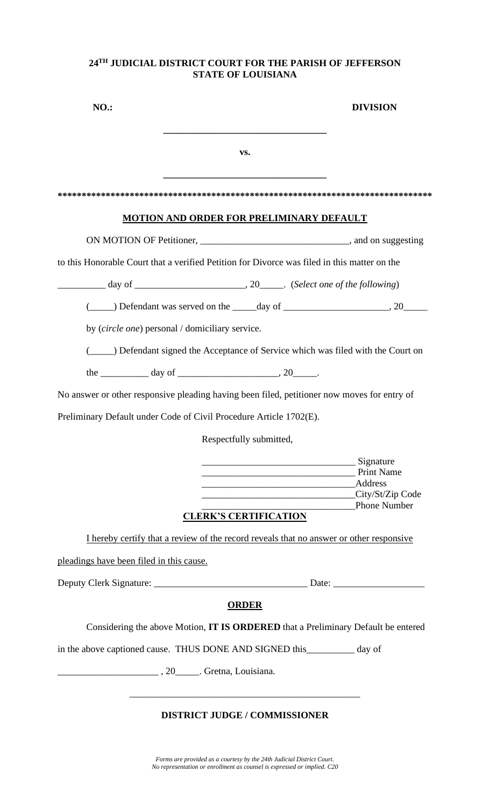| <b>NO.:</b>                                                                                  |                                                 |                              | DIVISION                                                                                |
|----------------------------------------------------------------------------------------------|-------------------------------------------------|------------------------------|-----------------------------------------------------------------------------------------|
|                                                                                              |                                                 | VS.                          |                                                                                         |
|                                                                                              |                                                 |                              |                                                                                         |
|                                                                                              | <u>MOTION AND ORDER FOR PRELIMINARY DEFAULT</u> |                              |                                                                                         |
|                                                                                              |                                                 |                              |                                                                                         |
| to this Honorable Court that a verified Petition for Divorce was filed in this matter on the |                                                 |                              |                                                                                         |
|                                                                                              |                                                 |                              |                                                                                         |
|                                                                                              |                                                 |                              |                                                                                         |
| by <i>(circle one)</i> personal / domiciliary service.                                       |                                                 |                              |                                                                                         |
|                                                                                              |                                                 |                              | (______) Defendant signed the Acceptance of Service which was filed with the Court on   |
| the $\frac{1}{\sqrt{2}}$ day of $\frac{1}{\sqrt{2}}$ , 20 $\frac{1}{\sqrt{2}}$ .             |                                                 |                              |                                                                                         |
| No answer or other responsive pleading having been filed, petitioner now moves for entry of  |                                                 |                              |                                                                                         |
| Preliminary Default under Code of Civil Procedure Article 1702(E).                           |                                                 |                              |                                                                                         |
|                                                                                              |                                                 | Respectfully submitted,      |                                                                                         |
|                                                                                              |                                                 |                              | Signature<br>Print Name<br>Address<br>City/St/Zip Code                                  |
|                                                                                              |                                                 | <b>CLERK'S CERTIFICATION</b> | Phone Number                                                                            |
|                                                                                              |                                                 |                              | I hereby certify that a review of the record reveals that no answer or other responsive |
| pleadings have been filed in this cause.                                                     |                                                 |                              |                                                                                         |
|                                                                                              |                                                 |                              |                                                                                         |
|                                                                                              |                                                 | <b>ORDER</b>                 |                                                                                         |
|                                                                                              |                                                 |                              | Considering the above Motion, IT IS ORDERED that a Preliminary Default be entered       |
| in the above captioned cause. THUS DONE AND SIGNED this ___________ day of                   |                                                 |                              |                                                                                         |
| $\frac{1}{20}$ , 20 $\frac{1}{20}$ . Gretna, Louisiana.                                      |                                                 |                              |                                                                                         |
|                                                                                              |                                                 |                              |                                                                                         |
|                                                                                              |                                                 |                              |                                                                                         |

# **DISTRICT JUDGE / COMMISSIONER**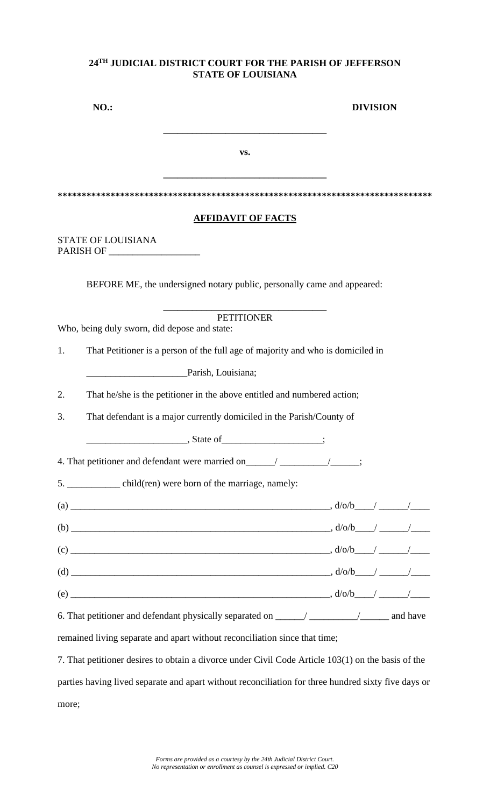| <b>NO.:</b>                                                                                         |  |                                                                                 |                   |                           | <b>DIVISION</b> |  |  |
|-----------------------------------------------------------------------------------------------------|--|---------------------------------------------------------------------------------|-------------------|---------------------------|-----------------|--|--|
|                                                                                                     |  |                                                                                 | VS.               |                           |                 |  |  |
|                                                                                                     |  |                                                                                 |                   |                           |                 |  |  |
|                                                                                                     |  |                                                                                 |                   | <b>AFFIDAVIT OF FACTS</b> |                 |  |  |
| STATE OF LOUISIANA                                                                                  |  |                                                                                 |                   |                           |                 |  |  |
|                                                                                                     |  | BEFORE ME, the undersigned notary public, personally came and appeared:         |                   |                           |                 |  |  |
| Who, being duly sworn, did depose and state:                                                        |  |                                                                                 | <b>PETITIONER</b> |                           |                 |  |  |
| 1.                                                                                                  |  | That Petitioner is a person of the full age of majority and who is domiciled in |                   |                           |                 |  |  |
|                                                                                                     |  | Parish, Louisiana;                                                              |                   |                           |                 |  |  |
| 2.                                                                                                  |  | That he/she is the petitioner in the above entitled and numbered action;        |                   |                           |                 |  |  |
| 3.                                                                                                  |  | That defendant is a major currently domiciled in the Parish/County of           |                   |                           |                 |  |  |
|                                                                                                     |  | $S$ tate of $\qquad \qquad$ $\qquad \qquad$ ;                                   |                   |                           |                 |  |  |
| 4. That petitioner and defendant were married on _______________________________;                   |  |                                                                                 |                   |                           |                 |  |  |
| 5. _____________ child(ren) were born of the marriage, namely:                                      |  |                                                                                 |                   |                           |                 |  |  |
|                                                                                                     |  |                                                                                 |                   |                           |                 |  |  |
|                                                                                                     |  |                                                                                 |                   |                           |                 |  |  |
|                                                                                                     |  |                                                                                 |                   |                           |                 |  |  |
|                                                                                                     |  |                                                                                 |                   |                           |                 |  |  |
|                                                                                                     |  |                                                                                 |                   |                           |                 |  |  |
|                                                                                                     |  |                                                                                 |                   |                           |                 |  |  |
| remained living separate and apart without reconciliation since that time;                          |  |                                                                                 |                   |                           |                 |  |  |
| 7. That petitioner desires to obtain a divorce under Civil Code Article 103(1) on the basis of the  |  |                                                                                 |                   |                           |                 |  |  |
| parties having lived separate and apart without reconciliation for three hundred sixty five days or |  |                                                                                 |                   |                           |                 |  |  |

more;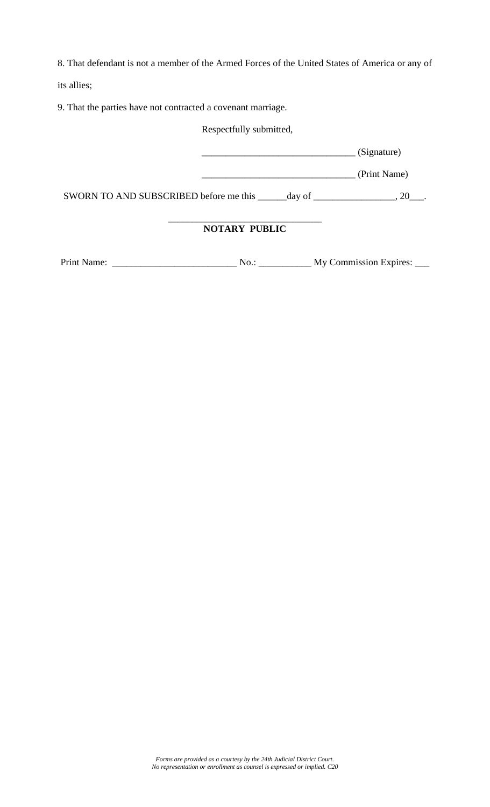8. That defendant is not a member of the Armed Forces of the United States of America or any of

its allies;

9. That the parties have not contracted a covenant marriage.

Respectfully submitted,

\_\_\_\_\_\_\_\_\_\_\_\_\_\_\_\_\_\_\_\_\_\_\_\_\_\_\_\_\_\_\_\_ (Signature)

\_\_\_\_\_\_\_\_\_\_\_\_\_\_\_\_\_\_\_\_\_\_\_\_\_\_\_\_\_\_\_\_ (Print Name)

SWORN TO AND SUBSCRIBED before me this \_\_\_\_\_day of \_\_\_\_\_\_\_\_\_\_\_\_\_, 20\_\_\_.

#### \_\_\_\_\_\_\_\_\_\_\_\_\_\_\_\_\_\_\_\_\_\_\_\_\_\_\_\_\_\_\_\_ **NOTARY PUBLIC**

Print Name: \_\_\_\_\_\_\_\_\_\_\_\_\_\_\_\_\_\_\_\_\_\_\_\_\_\_ No.: \_\_\_\_\_\_\_\_\_\_\_ My Commission Expires: \_\_\_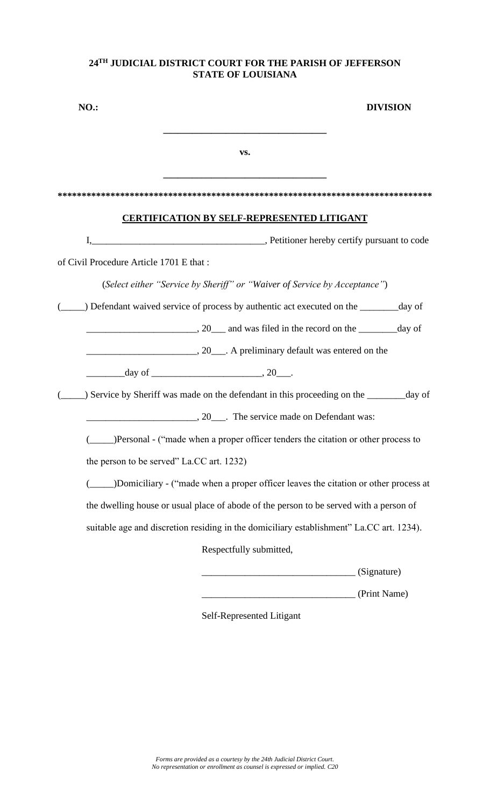| <b>NO.:</b>                             |                                                                                          | <b>DIVISION</b> |
|-----------------------------------------|------------------------------------------------------------------------------------------|-----------------|
|                                         | VS.                                                                                      |                 |
|                                         |                                                                                          |                 |
|                                         | <b>CERTIFICATION BY SELF-REPRESENTED LITIGANT</b>                                        |                 |
|                                         |                                                                                          |                 |
| of Civil Procedure Article 1701 E that: |                                                                                          |                 |
|                                         | (Select either "Service by Sheriff" or "Waiver of Service by Acceptance")                |                 |
|                                         | Defendant waived service of process by authentic act executed on the _______ day of      |                 |
|                                         |                                                                                          |                 |
|                                         |                                                                                          |                 |
|                                         | $\frac{day \text{ of }_{\text{max}}}{20}$ .                                              |                 |
|                                         | ) Service by Sheriff was made on the defendant in this proceeding on the ________day of  |                 |
|                                         | 20 The service made on Defendant was:                                                    |                 |
|                                         | (______)Personal - ("made when a proper officer tenders the citation or other process to |                 |
|                                         | the person to be served" La.CC art. 1232)                                                |                 |
|                                         | )Domiciliary - ("made when a proper officer leaves the citation or other process at      |                 |
|                                         | the dwelling house or usual place of abode of the person to be served with a person of   |                 |
|                                         | suitable age and discretion residing in the domiciliary establishment" La.CC art. 1234). |                 |
|                                         | Respectfully submitted,                                                                  |                 |
|                                         |                                                                                          | (Signature)     |
|                                         |                                                                                          | (Print Name)    |
|                                         | Self-Represented Litigant                                                                |                 |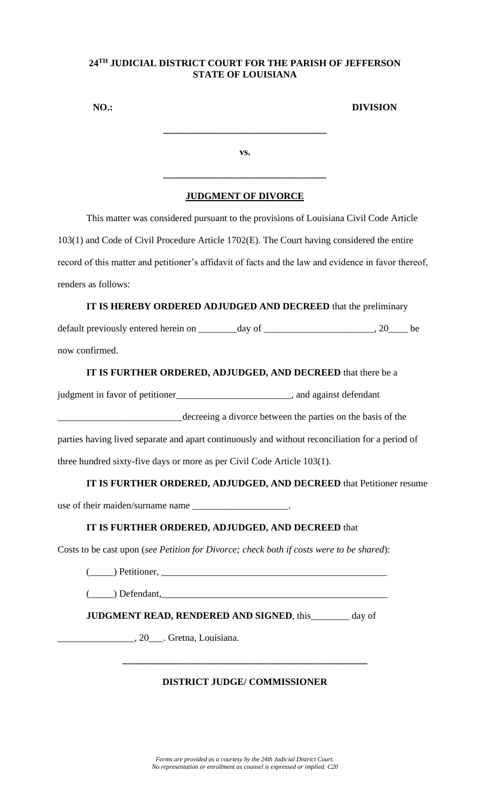| <b>NO.:</b> |     | <b>DIVISION</b> |
|-------------|-----|-----------------|
|             |     |                 |
|             | VS. |                 |
|             |     |                 |

## **JUDGMENT OF DIVORCE**

This matter was considered pursuant to the provisions of Louisiana Civil Code Article 103(1) and Code of Civil Procedure Article 1702(E). The Court having considered the entire record of this matter and petitioner's affidavit of facts and the law and evidence in favor thereof, renders as follows:

# **IT IS HEREBY ORDERED ADJUDGED AND DECREED** that the preliminary

default previously entered herein on \_\_\_\_\_\_\_day of \_\_\_\_\_\_\_\_\_\_\_\_\_\_\_\_\_\_\_\_, 20\_\_\_\_ be now confirmed.

# **IT IS FURTHER ORDERED, ADJUDGED, AND DECREED** that there be a

judgment in favor of petitioner\_\_\_\_\_\_\_\_\_\_\_\_\_\_\_\_\_\_\_\_\_\_\_\_, and against defendant

\_\_\_\_\_\_\_\_\_\_\_\_\_\_\_\_\_\_\_\_\_\_\_\_\_\_decreeing a divorce between the parties on the basis of the

parties having lived separate and apart continuously and without reconciliation for a period of three hundred sixty-five days or more as per Civil Code Article 103(1).

# **IT IS FURTHER ORDERED, ADJUDGED, AND DECREED** that Petitioner resume

use of their maiden/surname name \_\_\_\_\_\_\_\_\_\_\_\_\_\_\_\_\_\_\_\_.

# **IT IS FURTHER ORDERED, ADJUDGED, AND DECREED** that

Costs to be cast upon (*see Petition for Divorce; check both if costs were to be shared*):

 $($   $\Box)$  Petitioner,  $\Box$ 

 $(\_\_)$  Defendant,

**JUDGMENT READ, RENDERED AND SIGNED**, this day of

\_\_\_\_\_\_\_\_\_\_\_\_\_\_\_\_, 20\_\_\_. Gretna, Louisiana.

# **DISTRICT JUDGE/ COMMISSIONER**

**\_\_\_\_\_\_\_\_\_\_\_\_\_\_\_\_\_\_\_\_\_\_\_\_\_\_\_\_\_\_\_\_\_\_\_\_\_\_\_\_\_\_\_\_\_\_\_\_\_\_\_**